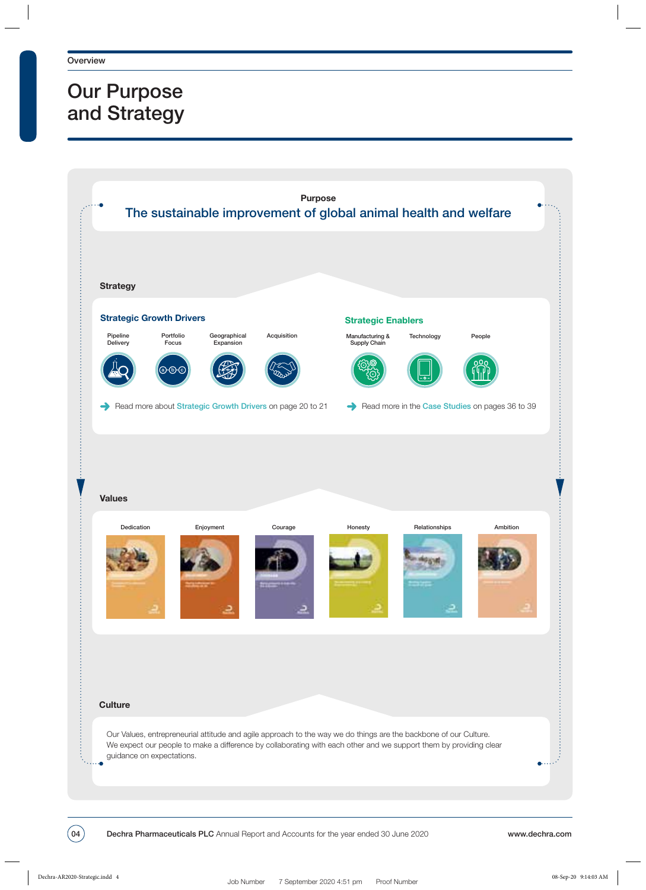## Our Purpose and Strategy